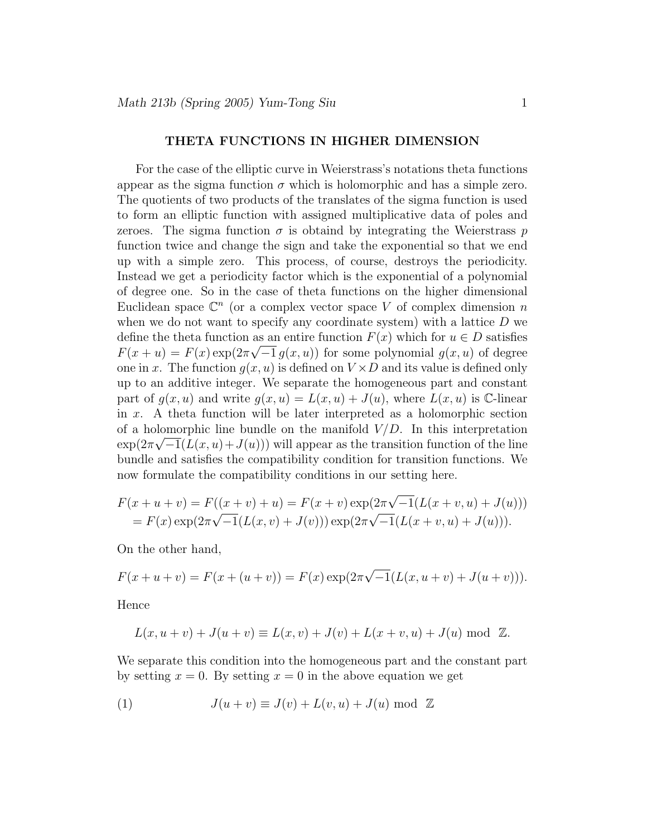## THETA FUNCTIONS IN HIGHER DIMENSION

For the case of the elliptic curve in Weierstrass's notations theta functions appear as the sigma function  $\sigma$  which is holomorphic and has a simple zero. The quotients of two products of the translates of the sigma function is used to form an elliptic function with assigned multiplicative data of poles and zeroes. The sigma function  $\sigma$  is obtaind by integrating the Weierstrass p function twice and change the sign and take the exponential so that we end up with a simple zero. This process, of course, destroys the periodicity. Instead we get a periodicity factor which is the exponential of a polynomial of degree one. So in the case of theta functions on the higher dimensional Euclidean space  $\mathbb{C}^n$  (or a complex vector space V of complex dimension n when we do not want to specify any coordinate system) with a lattice  $D$  we define the theta function as an entire function  $F(x)$  which for  $u \in D$  satisfies  $F(x + u) = F(x) \exp(2\pi \sqrt{-1} g(x, u))$  for some polynomial  $g(x, u)$  of degree one in x. The function  $q(x, u)$  is defined on  $V \times D$  and its value is defined only up to an additive integer. We separate the homogeneous part and constant part of  $g(x, u)$  and write  $g(x, u) = L(x, u) + J(u)$ , where  $L(x, u)$  is C-linear in x. A theta function will be later interpreted as a holomorphic section of a holomorphic line bundle on the manifold  $V/D$ . In this interpretation  $\exp(2\pi\sqrt{-1}(L(x,u)+J(u)))$  will appear as the transition function of the line bundle and satisfies the compatibility condition for transition functions. We now formulate the compatibility conditions in our setting here.

$$
F(x+u+v) = F((x+v)+u) = F(x+v) \exp(2\pi \sqrt{-1}(L(x+v,u)+J(u)))
$$
  
=  $F(x) \exp(2\pi \sqrt{-1}(L(x,v)+J(v))) \exp(2\pi \sqrt{-1}(L(x+v,u)+J(u))).$ 

On the other hand,

$$
F(x+u+v) = F(x+(u+v)) = F(x) \exp(2\pi \sqrt{-1}(L(x,u+v) + J(u+v))).
$$

Hence

$$
L(x, u + v) + J(u + v) \equiv L(x, v) + J(v) + L(x + v, u) + J(u) \text{ mod } \mathbb{Z}.
$$

We separate this condition into the homogeneous part and the constant part by setting  $x = 0$ . By setting  $x = 0$  in the above equation we get

(1) 
$$
J(u + v) \equiv J(v) + L(v, u) + J(u) \mod \mathbb{Z}
$$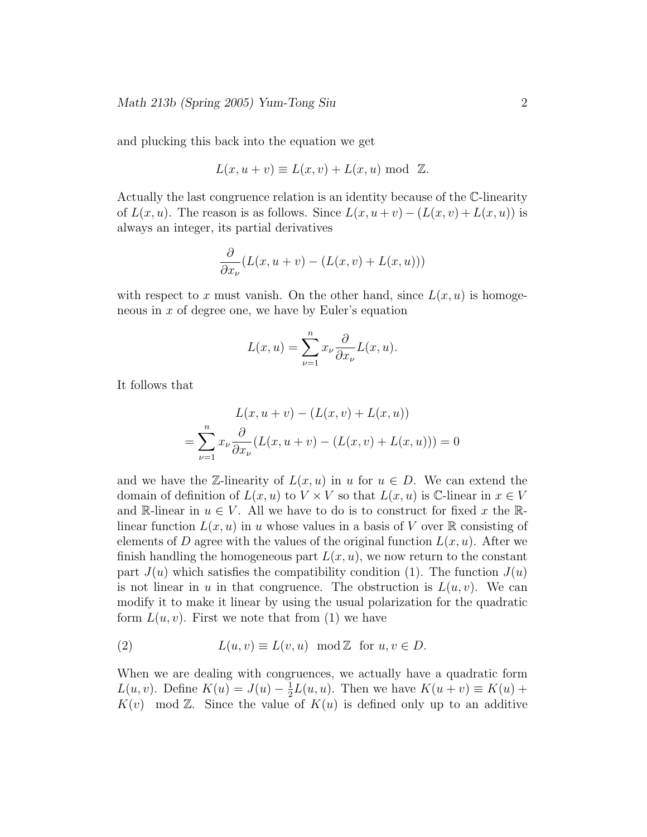and plucking this back into the equation we get

$$
L(x, u + v) \equiv L(x, v) + L(x, u) \text{ mod } \mathbb{Z}.
$$

Actually the last congruence relation is an identity because of the C-linearity of  $L(x, u)$ . The reason is as follows. Since  $L(x, u + v) - (L(x, v) + L(x, u))$  is always an integer, its partial derivatives

$$
\frac{\partial}{\partial x_{\nu}}(L(x, u + v) - (L(x, v) + L(x, u)))
$$

with respect to x must vanish. On the other hand, since  $L(x, u)$  is homogeneous in  $x$  of degree one, we have by Euler's equation

$$
L(x, u) = \sum_{\nu=1}^{n} x_{\nu} \frac{\partial}{\partial x_{\nu}} L(x, u).
$$

It follows that

$$
L(x, u + v) - (L(x, v) + L(x, u))
$$
  
= 
$$
\sum_{\nu=1}^{n} x_{\nu} \frac{\partial}{\partial x_{\nu}} (L(x, u + v) - (L(x, v) + L(x, u))) = 0
$$

and we have the Z-linearity of  $L(x, u)$  in u for  $u \in D$ . We can extend the domain of definition of  $L(x, u)$  to  $V \times V$  so that  $L(x, u)$  is C-linear in  $x \in V$ and R-linear in  $u \in V$ . All we have to do is to construct for fixed x the Rlinear function  $L(x, u)$  in u whose values in a basis of V over R consisting of elements of D agree with the values of the original function  $L(x, u)$ . After we finish handling the homogeneous part  $L(x, u)$ , we now return to the constant part  $J(u)$  which satisfies the compatibility condition (1). The function  $J(u)$ is not linear in u in that congruence. The obstruction is  $L(u, v)$ . We can modify it to make it linear by using the usual polarization for the quadratic form  $L(u, v)$ . First we note that from (1) we have

(2) 
$$
L(u, v) \equiv L(v, u) \mod \mathbb{Z}
$$
 for  $u, v \in D$ .

When we are dealing with congruences, we actually have a quadratic form  $L(u, v)$ . Define  $K(u) = J(u) - \frac{1}{2}$  $\frac{1}{2}L(u, u)$ . Then we have  $K(u + v) \equiv K(u) +$  $K(v)$  mod Z. Since the value of  $K(u)$  is defined only up to an additive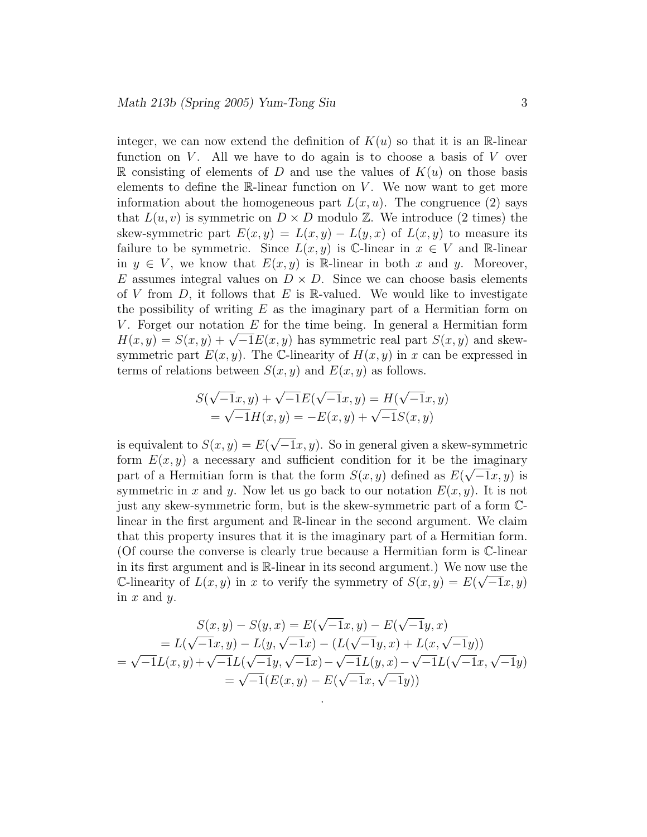integer, we can now extend the definition of  $K(u)$  so that it is an R-linear function on  $V$ . All we have to do again is to choose a basis of  $V$  over R consisting of elements of D and use the values of  $K(u)$  on those basis elements to define the  $\mathbb{R}$ -linear function on V. We now want to get more information about the homogeneous part  $L(x, u)$ . The congruence (2) says that  $L(u, v)$  is symmetric on  $D \times D$  modulo  $\mathbb{Z}$ . We introduce (2 times) the skew-symmetric part  $E(x,y) = L(x,y) - L(y,x)$  of  $L(x,y)$  to measure its failure to be symmetric. Since  $L(x, y)$  is C-linear in  $x \in V$  and R-linear in  $y \in V$ , we know that  $E(x, y)$  is R-linear in both x and y. Moreover, E assumes integral values on  $D \times D$ . Since we can choose basis elements of V from  $D$ , it follows that E is R-valued. We would like to investigate the possibility of writing  $E$  as the imaginary part of a Hermitian form on V. Forget our notation  $E$  for the time being. In general a Hermitian form  $H(x,y) = S(x,y) + \sqrt{-1}E(x,y)$  has symmetric real part  $S(x,y)$  and skewsymmetric part  $E(x, y)$ . The C-linearity of  $H(x, y)$  in x can be expressed in terms of relations between  $S(x, y)$  and  $E(x, y)$  as follows.

$$
S(\sqrt{-1}x, y) + \sqrt{-1}E(\sqrt{-1}x, y) = H(\sqrt{-1}x, y)
$$
  
=  $\sqrt{-1}H(x, y) = -E(x, y) + \sqrt{-1}S(x, y)$ 

is equivalent to  $S(x, y) = E(\sqrt{-1}x, y)$ . So in general given a skew-symmetric form  $E(x, y)$  a necessary and sufficient condition for it be the imaginary part of a Hermitian form is that the form  $S(x, y)$  defined as  $E(\sqrt{-1}x, y)$  is symmetric in x and y. Now let us go back to our notation  $E(x, y)$ . It is not just any skew-symmetric form, but is the skew-symmetric part of a form Clinear in the first argument and R-linear in the second argument. We claim that this property insures that it is the imaginary part of a Hermitian form. (Of course the converse is clearly true because a Hermitian form is C-linear in its first argument and is R-linear in its second argument.) We now use the C-linearity of  $L(x, y)$  in x to verify the symmetry of  $S(x, y) = E(\sqrt{-1}x, y)$ in  $x$  and  $y$ .

$$
S(x, y) - S(y, x) = E(\sqrt{-1}x, y) - E(\sqrt{-1}y, x)
$$
  
=  $L(\sqrt{-1}x, y) - L(y, \sqrt{-1}x) - (L(\sqrt{-1}y, x) + L(x, \sqrt{-1}y))$   
=  $\sqrt{-1}L(x, y) + \sqrt{-1}L(\sqrt{-1}y, \sqrt{-1}x) - \sqrt{-1}L(y, x) - \sqrt{-1}L(\sqrt{-1}x, \sqrt{-1}y)$   
=  $\sqrt{-1}(E(x, y) - E(\sqrt{-1}x, \sqrt{-1}y))$ 

.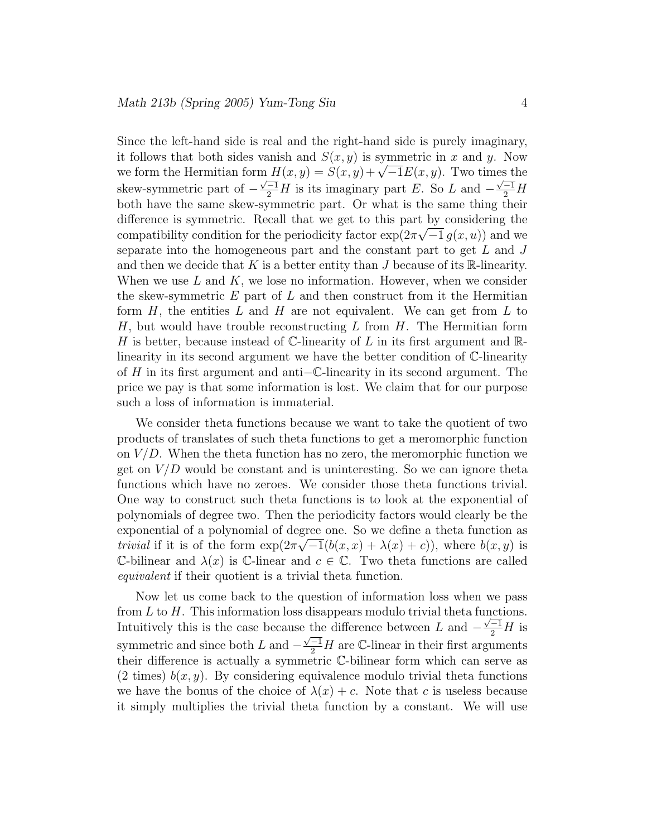Since the left-hand side is real and the right-hand side is purely imaginary, it follows that both sides vanish and  $S(x, y)$  is symmetric in x and y. Now we form the Hermitian form  $H(x,y) = S(x,y)+\sqrt{-1}E(x,y)$ . Two times the skew-symmetric part of  $-\frac{\sqrt{-1}}{2}H$  is its imaginary part E. So L and  $-\frac{\sqrt{-1}}{2}H$ both have the same skew-symmetric part. Or what is the same thing their difference is symmetric. Recall that we get to this part by considering the compatibility condition for the periodicity factor  $\exp(2\pi\sqrt{-1} g(x, u))$  and we separate into the homogeneous part and the constant part to get  $L$  and  $J$ and then we decide that K is a better entity than  $J$  because of its R-linearity. When we use  $L$  and  $K$ , we lose no information. However, when we consider the skew-symmetric  $E$  part of  $L$  and then construct from it the Hermitian form  $H$ , the entities  $L$  and  $H$  are not equivalent. We can get from  $L$  to  $H$ , but would have trouble reconstructing  $L$  from  $H$ . The Hermitian form H is better, because instead of  $\mathbb{C}$ -linearity of L in its first argument and  $\mathbb{R}$ linearity in its second argument we have the better condition of C-linearity of <sup>H</sup> in its first argument and anti−C-linearity in its second argument. The price we pay is that some information is lost. We claim that for our purpose such a loss of information is immaterial.

We consider theta functions because we want to take the quotient of two products of translates of such theta functions to get a meromorphic function on  $V/D$ . When the theta function has no zero, the meromorphic function we get on  $V/D$  would be constant and is uninteresting. So we can ignore theta functions which have no zeroes. We consider those theta functions trivial. One way to construct such theta functions is to look at the exponential of polynomials of degree two. Then the periodicity factors would clearly be the exponential of a polynomial of degree one. So we define a theta function as trivial if it is of the form  $\exp(2\pi\sqrt{-1}(b(x,x)+\lambda(x)+c))$ , where  $b(x,y)$  is C-bilinear and  $\lambda(x)$  is C-linear and  $c \in \mathbb{C}$ . Two theta functions are called equivalent if their quotient is a trivial theta function.

Now let us come back to the question of information loss when we pass from  $L$  to  $H$ . This information loss disappears modulo trivial theta functions. Intuitively this is the case because the difference between L and  $-\frac{\sqrt{-1}}{2}H$  is symmetric and since both L and  $-\frac{\sqrt{-1}}{2}H$  are C-linear in their first arguments their difference is actually a symmetric C-bilinear form which can serve as  $(2 \text{ times})$   $b(x, y)$ . By considering equivalence modulo trivial theta functions we have the bonus of the choice of  $\lambda(x) + c$ . Note that c is useless because it simply multiplies the trivial theta function by a constant. We will use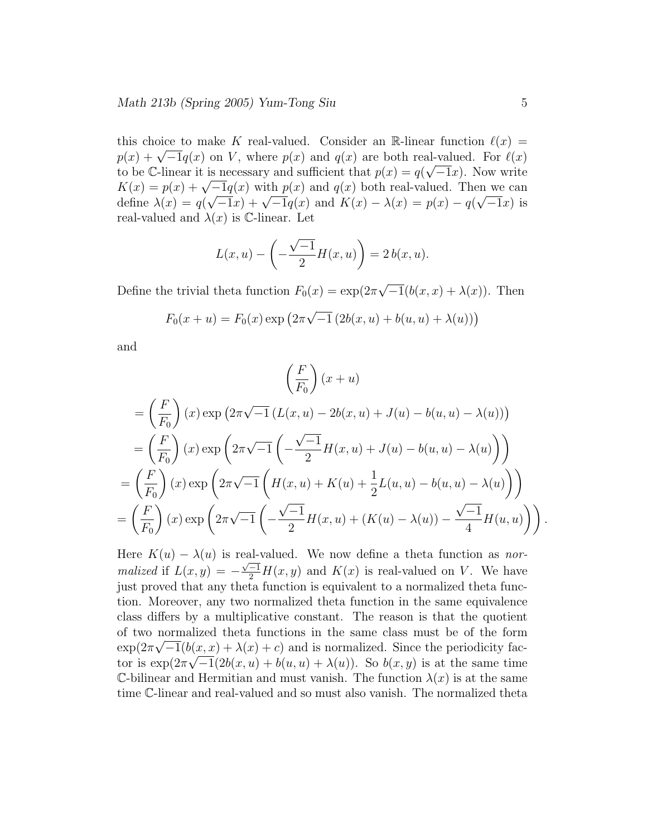this choice to make K real-valued. Consider an R-linear function  $\ell(x)$  =  $p(x) + \sqrt{-1}q(x)$  on V, where  $p(x)$  and  $q(x)$  are both real-valued. For  $\ell(x)$ to be C-linear it is necessary and sufficient that  $p(x) = q(\sqrt{-1}x)$ . Now write  $K(x) = p(x) + \sqrt{-1}q(x)$  with  $p(x)$  and  $q(x)$  both real-valued. Then we can define  $\lambda(x) = q(\sqrt{-1}x) + \sqrt{-1}q(x)$  and  $K(x) - \lambda(x) = p(x) - q(\sqrt{-1}x)$  is real-valued and  $\lambda(x)$  is C-linear. Let

$$
L(x, u) - \left(-\frac{\sqrt{-1}}{2}H(x, u)\right) = 2 b(x, u).
$$

Define the trivial theta function  $F_0(x) = \exp(2\pi\sqrt{-1}(b(x, x) + \lambda(x))$ . Then

$$
F_0(x + u) = F_0(x) \exp(2\pi \sqrt{-1} (2b(x, u) + b(u, u) + \lambda(u)))
$$

and

$$
\left(\frac{F}{F_0}\right)(x+u)
$$
\n
$$
= \left(\frac{F}{F_0}\right)(x) \exp\left(2\pi\sqrt{-1}\left(L(x,u) - 2b(x,u) + J(u) - b(u,u) - \lambda(u)\right)\right)
$$
\n
$$
= \left(\frac{F}{F_0}\right)(x) \exp\left(2\pi\sqrt{-1}\left(-\frac{\sqrt{-1}}{2}H(x,u) + J(u) - b(u,u) - \lambda(u)\right)\right)
$$
\n
$$
= \left(\frac{F}{F_0}\right)(x) \exp\left(2\pi\sqrt{-1}\left(H(x,u) + K(u) + \frac{1}{2}L(u,u) - b(u,u) - \lambda(u)\right)\right)
$$
\n
$$
= \left(\frac{F}{F_0}\right)(x) \exp\left(2\pi\sqrt{-1}\left(-\frac{\sqrt{-1}}{2}H(x,u) + (K(u) - \lambda(u)) - \frac{\sqrt{-1}}{4}H(u,u)\right)\right).
$$

Here  $K(u) - \lambda(u)$  is real-valued. We now define a theta function as normalized if  $L(x,y) = -\frac{\sqrt{-1}}{2}H(x,y)$  and  $K(x)$  is real-valued on V. We have just proved that any theta function is equivalent to a normalized theta function. Moreover, any two normalized theta function in the same equivalence class differs by a multiplicative constant. The reason is that the quotient of two normalized theta functions in the same class must be of the form  $\exp(2\pi\sqrt{-1}(b(x,x)+\lambda(x)+c))$  and is normalized. Since the periodicity factor is  $\exp(2\pi\sqrt{-1}(2b(x,u)+b(u,u)+\lambda(u))$ . So  $b(x,y)$  is at the same time C-bilinear and Hermitian and must vanish. The function  $\lambda(x)$  is at the same time C-linear and real-valued and so must also vanish. The normalized theta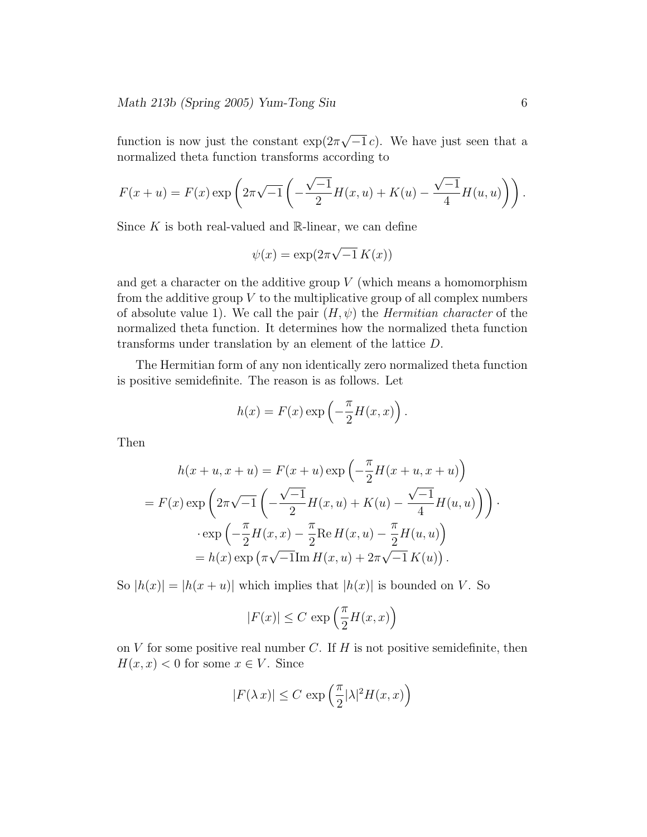function is now just the constant  $\exp(2\pi\sqrt{-1}c)$ . We have just seen that a normalized theta function transforms according to

$$
F(x+u) = F(x) \exp \left(2\pi \sqrt{-1} \left(-\frac{\sqrt{-1}}{2}H(x,u) + K(u) - \frac{\sqrt{-1}}{4}H(u,u)\right)\right).
$$

Since  $K$  is both real-valued and  $\mathbb{R}$ -linear, we can define

$$
\psi(x) = \exp(2\pi\sqrt{-1} K(x))
$$

and get a character on the additive group  $V$  (which means a homomorphism from the additive group  $V$  to the multiplicative group of all complex numbers of absolute value 1). We call the pair  $(H, \psi)$  the *Hermitian character* of the normalized theta function. It determines how the normalized theta function transforms under translation by an element of the lattice D.

The Hermitian form of any non identically zero normalized theta function is positive semidefinite. The reason is as follows. Let

$$
h(x) = F(x) \exp\left(-\frac{\pi}{2}H(x,x)\right).
$$

Then

$$
h(x + u, x + u) = F(x + u) \exp\left(-\frac{\pi}{2}H(x + u, x + u)\right)
$$
  
=  $F(x) \exp\left(2\pi\sqrt{-1}\left(-\frac{\sqrt{-1}}{2}H(x, u) + K(u) - \frac{\sqrt{-1}}{4}H(u, u)\right)\right)$   
 $\cdot \exp\left(-\frac{\pi}{2}H(x, x) - \frac{\pi}{2}\text{Re }H(x, u) - \frac{\pi}{2}H(u, u)\right)$   
=  $h(x) \exp\left(\pi\sqrt{-1}\text{Im }H(x, u) + 2\pi\sqrt{-1}K(u)\right).$ 

So  $|h(x)| = |h(x+u)|$  which implies that  $|h(x)|$  is bounded on V. So

$$
|F(x)| \leq C \, \exp\left(\frac{\pi}{2}H(x,x)\right)
$$

on  $V$  for some positive real number  $C$ . If  $H$  is not positive semidefinite, then  $H(x, x) < 0$  for some  $x \in V$ . Since

$$
|F(\lambda x)| \leq C \, \exp\left(\frac{\pi}{2} |\lambda|^2 H(x,x)\right)
$$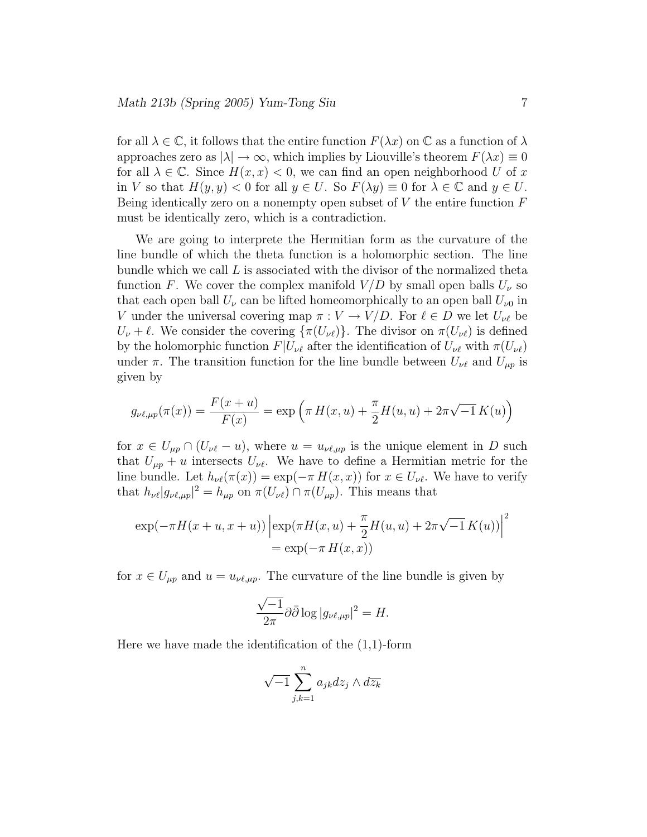for all  $\lambda \in \mathbb{C}$ , it follows that the entire function  $F(\lambda x)$  on  $\mathbb{C}$  as a function of  $\lambda$ approaches zero as  $|\lambda| \to \infty$ , which implies by Liouville's theorem  $F(\lambda x) \equiv 0$ for all  $\lambda \in \mathbb{C}$ . Since  $H(x,x) < 0$ , we can find an open neighborhood U of x in V so that  $H(y, y) < 0$  for all  $y \in U$ . So  $F(\lambda y) \equiv 0$  for  $\lambda \in \mathbb{C}$  and  $y \in U$ . Being identically zero on a nonempty open subset of  $V$  the entire function  $F$ must be identically zero, which is a contradiction.

We are going to interprete the Hermitian form as the curvature of the line bundle of which the theta function is a holomorphic section. The line bundle which we call  $L$  is associated with the divisor of the normalized theta function F. We cover the complex manifold  $V/D$  by small open balls  $U_{\nu}$  so that each open ball  $U_{\nu}$  can be lifted homeomorphically to an open ball  $U_{\nu0}$  in V under the universal covering map  $\pi : V \to V/D$ . For  $\ell \in D$  we let  $U_{\nu\ell}$  be  $U_{\nu} + \ell$ . We consider the covering  $\{\pi(U_{\nu\ell})\}$ . The divisor on  $\pi(U_{\nu\ell})$  is defined by the holomorphic function  $F|U_{\nu\ell}$  after the identification of  $U_{\nu\ell}$  with  $\pi(U_{\nu\ell})$ under  $\pi$ . The transition function for the line bundle between  $U_{\nu\ell}$  and  $U_{\mu p}$  is given by

$$
g_{\nu\ell,\mu p}(\pi(x)) = \frac{F(x+u)}{F(x)} = \exp\left(\pi H(x,u) + \frac{\pi}{2}H(u,u) + 2\pi\sqrt{-1}K(u)\right)
$$

for  $x \in U_{\mu p} \cap (U_{\nu \ell} - u)$ , where  $u = u_{\nu \ell, \mu p}$  is the unique element in D such that  $U_{\mu p} + u$  intersects  $U_{\nu \ell}$ . We have to define a Hermitian metric for the line bundle. Let  $h_{\nu\ell}(\pi(x)) = \exp(-\pi H(x,x))$  for  $x \in U_{\nu\ell}$ . We have to verify that  $h_{\nu\ell}|g_{\nu\ell,\mu p}|^2 = h_{\mu p}$  on  $\pi(U_{\nu\ell}) \cap \pi(U_{\mu p})$ . This means that

$$
\exp(-\pi H(x+u, x+u)) \left| \exp(\pi H(x, u) + \frac{\pi}{2} H(u, u) + 2\pi \sqrt{-1} K(u)) \right|^2
$$
  
=  $\exp(-\pi H(x, x))$ 

for  $x \in U_{\mu p}$  and  $u = u_{\nu \ell, \mu p}$ . The curvature of the line bundle is given by

$$
\frac{\sqrt{-1}}{2\pi}\partial\bar{\partial}\log|g_{\nu\ell,\mu p}|^2 = H.
$$

Here we have made the identification of the  $(1,1)$ -form

$$
\sqrt{-1} \sum_{j,k=1}^{n} a_{jk} dz_j \wedge d\overline{z_k}
$$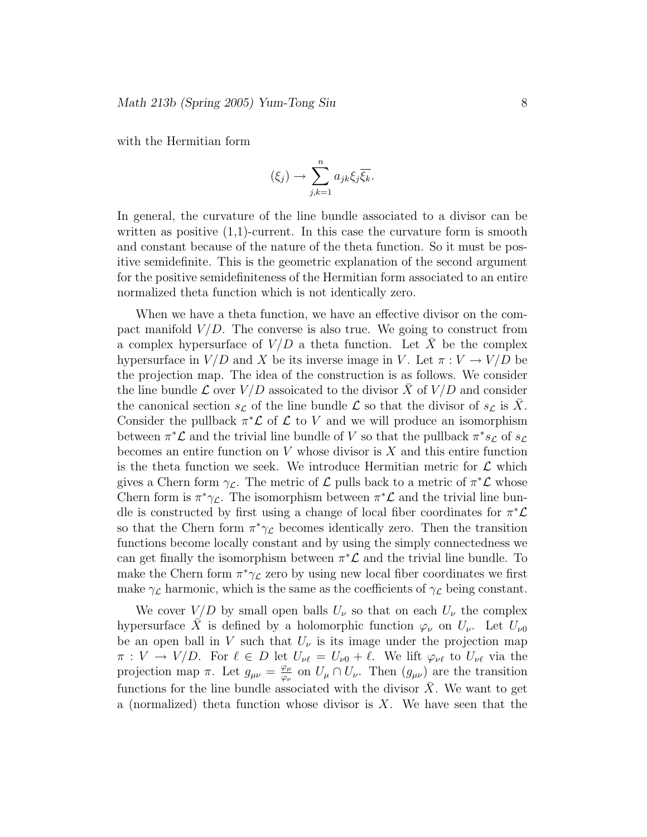with the Hermitian form

$$
(\xi_j) \to \sum_{j,k=1}^n a_{jk} \xi_j \overline{\xi_k}.
$$

In general, the curvature of the line bundle associated to a divisor can be written as positive  $(1,1)$ -current. In this case the curvature form is smooth and constant because of the nature of the theta function. So it must be positive semidefinite. This is the geometric explanation of the second argument for the positive semidefiniteness of the Hermitian form associated to an entire normalized theta function which is not identically zero.

When we have a theta function, we have an effective divisor on the compact manifold  $V/D$ . The converse is also true. We going to construct from a complex hypersurface of  $V/D$  a theta function. Let  $\overline{X}$  be the complex hypersurface in  $V/D$  and X be its inverse image in V. Let  $\pi: V \to V/D$  be the projection map. The idea of the construction is as follows. We consider the line bundle  $\mathcal L$  over  $V/D$  assoicated to the divisor  $\bar X$  of  $V/D$  and consider the canonical section  $s_{\mathcal{L}}$  of the line bundle  $\mathcal{L}$  so that the divisor of  $s_{\mathcal{L}}$  is X. Consider the pullback  $\pi^*\mathcal{L}$  of  $\mathcal{L}$  to V and we will produce an isomorphism between  $\pi^*\mathcal{L}$  and the trivial line bundle of V so that the pullback  $\pi^*s_{\mathcal{L}}$  of  $s_{\mathcal{L}}$ becomes an entire function on  $V$  whose divisor is  $X$  and this entire function is the theta function we seek. We introduce Hermitian metric for  $\mathcal L$  which gives a Chern form  $\gamma_{\mathcal{L}}$ . The metric of  $\mathcal{L}$  pulls back to a metric of  $\pi^*\mathcal{L}$  whose Chern form is  $\pi^*\gamma_{\mathcal{L}}$ . The isomorphism between  $\pi^*\mathcal{L}$  and the trivial line bundle is constructed by first using a change of local fiber coordinates for  $\pi^*\mathcal{L}$ so that the Chern form  $\pi^*\gamma_{\mathcal{L}}$  becomes identically zero. Then the transition functions become locally constant and by using the simply connectedness we can get finally the isomorphism between  $\pi^*\mathcal{L}$  and the trivial line bundle. To make the Chern form  $\pi^*\gamma_{\mathcal{L}}$  zero by using new local fiber coordinates we first make  $\gamma_{\mathcal{L}}$  harmonic, which is the same as the coefficients of  $\gamma_{\mathcal{L}}$  being constant.

We cover  $V/D$  by small open balls  $U_{\nu}$  so that on each  $U_{\nu}$  the complex hypersurface X is defined by a holomorphic function  $\varphi_{\nu}$  on  $U_{\nu}$ . Let  $U_{\nu0}$ be an open ball in V such that  $U_{\nu}$  is its image under the projection map  $\pi: V \to V/D$ . For  $\ell \in D$  let  $U_{\nu\ell} = U_{\nu 0} + \ell$ . We lift  $\varphi_{\nu\ell}$  to  $U_{\nu\ell}$  via the projection map  $\pi$ . Let  $g_{\mu\nu} = \frac{\varphi_{\mu}}{\varphi_{\nu}}$  $\frac{\varphi_{\mu}}{\varphi_{\nu}}$  on  $U_{\mu} \cap U_{\nu}$ . Then  $(g_{\mu\nu})$  are the transition functions for the line bundle associated with the divisor  $X$ . We want to get a (normalized) theta function whose divisor is  $X$ . We have seen that the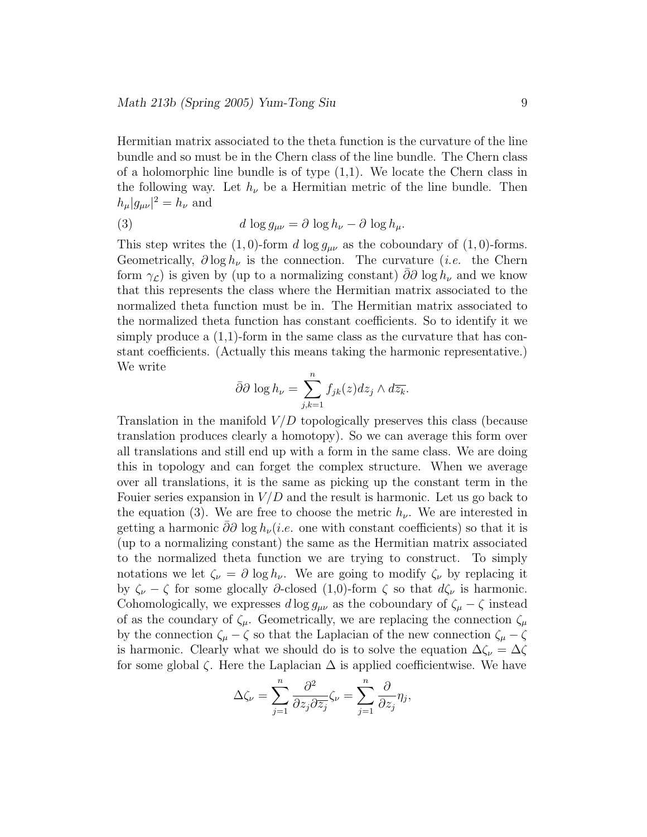Hermitian matrix associated to the theta function is the curvature of the line bundle and so must be in the Chern class of the line bundle. The Chern class of a holomorphic line bundle is of type  $(1,1)$ . We locate the Chern class in the following way. Let  $h_{\nu}$  be a Hermitian metric of the line bundle. Then  $h_{\mu}|g_{\mu\nu}|^2 = h_{\nu}$  and

(3) 
$$
d \log g_{\mu\nu} = \partial \log h_{\nu} - \partial \log h_{\mu}.
$$

This step writes the (1,0)-form d  $\log g_{\mu\nu}$  as the coboundary of (1,0)-forms. Geometrically,  $\partial \log h_{\nu}$  is the connection. The curvature (*i.e.* the Chern form  $\gamma$ <sub>c</sub>) is given by (up to a normalizing constant) ∂∂ log  $h_{\nu}$  and we know that this represents the class where the Hermitian matrix associated to the normalized theta function must be in. The Hermitian matrix associated to the normalized theta function has constant coefficients. So to identify it we simply produce a  $(1,1)$ -form in the same class as the curvature that has constant coefficients. (Actually this means taking the harmonic representative.) We write

$$
\bar{\partial}\partial \log h_{\nu} = \sum_{j,k=1}^{n} f_{jk}(z) dz_j \wedge d\overline{z_k}.
$$

Translation in the manifold  $V/D$  topologically preserves this class (because translation produces clearly a homotopy). So we can average this form over all translations and still end up with a form in the same class. We are doing this in topology and can forget the complex structure. When we average over all translations, it is the same as picking up the constant term in the Fouier series expansion in  $V/D$  and the result is harmonic. Let us go back to the equation (3). We are free to choose the metric  $h_{\nu}$ . We are interested in getting a harmonic  $\partial \partial \log h_{\nu}(i.e.$  one with constant coefficients) so that it is (up to a normalizing constant) the same as the Hermitian matrix associated to the normalized theta function we are trying to construct. To simply notations we let  $\zeta_{\nu} = \partial \log h_{\nu}$ . We are going to modify  $\zeta_{\nu}$  by replacing it by  $\zeta_{\nu} - \zeta$  for some glocally ∂-closed (1,0)-form  $\zeta$  so that  $d\zeta_{\nu}$  is harmonic. Cohomologically, we expresses  $d \log g_{\mu\nu}$  as the coboundary of  $\zeta_{\mu} - \zeta$  instead of as the coundary of  $\zeta_{\mu}$ . Geometrically, we are replacing the connection  $\zeta_{\mu}$ by the connection  $\zeta_{\mu} - \zeta$  so that the Laplacian of the new connection  $\zeta_{\mu} - \zeta$ is harmonic. Clearly what we should do is to solve the equation  $\Delta\zeta_{\nu} = \Delta\zeta$ for some global  $\zeta$ . Here the Laplacian  $\Delta$  is applied coefficientwise. We have

$$
\Delta \zeta_{\nu} = \sum_{j=1}^{n} \frac{\partial^2}{\partial z_j \partial \overline{z_j}} \zeta_{\nu} = \sum_{j=1}^{n} \frac{\partial}{\partial z_j} \eta_j,
$$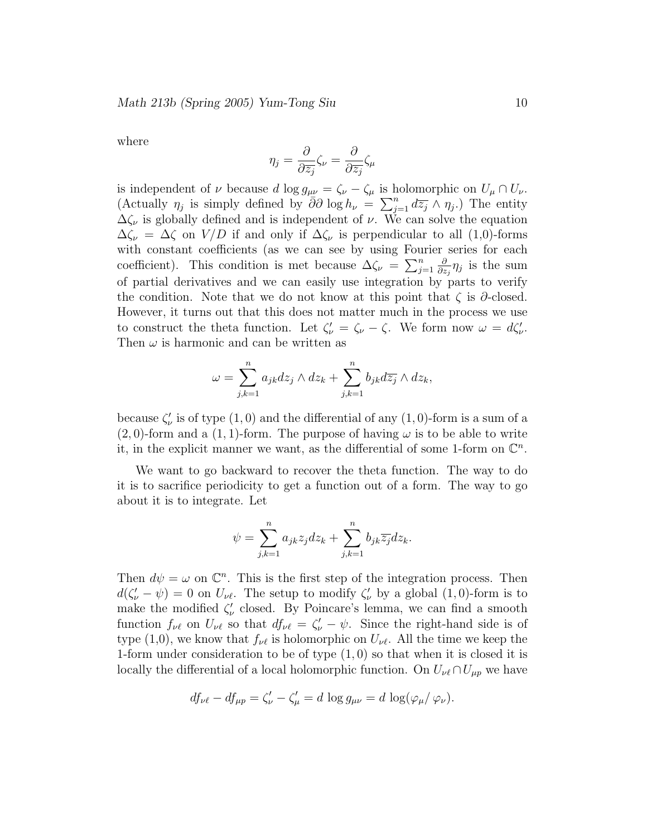where

$$
\eta_j = \frac{\partial}{\partial \overline{z_j}} \zeta_\nu = \frac{\partial}{\partial \overline{z_j}} \zeta_\mu
$$

is independent of  $\nu$  because d log  $g_{\mu\nu} = \zeta_{\nu} - \zeta_{\mu}$  is holomorphic on  $U_{\mu} \cap U_{\nu}$ . (Actually  $\eta_j$  is simply defined by  $\bar{\partial}\partial \log h_{\nu} = \sum_{j=1}^n d\overline{z_j} \wedge \eta_j$ .) The entity  $\Delta \zeta_{\nu}$  is globally defined and is independent of  $\nu$ . We can solve the equation  $\Delta \zeta_{\nu} = \Delta \zeta$  on  $V/D$  if and only if  $\Delta \zeta_{\nu}$  is perpendicular to all (1,0)-forms with constant coefficients (as we can see by using Fourier series for each coefficient). This condition is met because  $\Delta \zeta_{\nu} = \sum_{j=1}^{n}$ ∂  $\frac{\partial}{\partial z_j}\eta_j$  is the sum of partial derivatives and we can easily use integration by parts to verify the condition. Note that we do not know at this point that  $\zeta$  is  $\partial$ -closed. However, it turns out that this does not matter much in the process we use to construct the theta function. Let  $\zeta_{\nu} = \zeta_{\nu} - \zeta$ . We form now  $\omega = d\zeta_{\nu}'$ . Then  $\omega$  is harmonic and can be written as

$$
\omega = \sum_{j,k=1}^n a_{jk} dz_j \wedge dz_k + \sum_{j,k=1}^n b_{jk} d\overline{z_j} \wedge dz_k,
$$

because  $\zeta_{\nu}'$  is of type  $(1,0)$  and the differential of any  $(1,0)$ -form is a sum of a  $(2, 0)$ -form and a  $(1, 1)$ -form. The purpose of having  $\omega$  is to be able to write it, in the explicit manner we want, as the differential of some 1-form on  $\mathbb{C}^n$ .

We want to go backward to recover the theta function. The way to do it is to sacrifice periodicity to get a function out of a form. The way to go about it is to integrate. Let

$$
\psi = \sum_{j,k=1}^n a_{jk} z_j dz_k + \sum_{j,k=1}^n b_{jk} \overline{z_j} dz_k.
$$

Then  $d\psi = \omega$  on  $\mathbb{C}^n$ . This is the first step of the integration process. Then  $d(\zeta_{\nu}' - \psi) = 0$  on  $U_{\nu\ell}$ . The setup to modify  $\zeta_{\nu}'$  by a global  $(1,0)$ -form is to make the modified  $\zeta_{\nu}^{\prime}$  closed. By Poincare's lemma, we can find a smooth function  $f_{\nu\ell}$  on  $U_{\nu\ell}$  so that  $df_{\nu\ell} = \zeta'_{\nu} - \psi$ . Since the right-hand side is of type (1,0), we know that  $f_{\nu\ell}$  is holomorphic on  $U_{\nu\ell}$ . All the time we keep the 1-form under consideration to be of type  $(1,0)$  so that when it is closed it is locally the differential of a local holomorphic function. On  $U_{\nu\ell} \cap U_{\mu p}$  we have

$$
df_{\nu\ell} - df_{\mu p} = \zeta_{\nu}' - \zeta_{\mu}' = d \log g_{\mu\nu} = d \log(\varphi_{\mu}/\varphi_{\nu}).
$$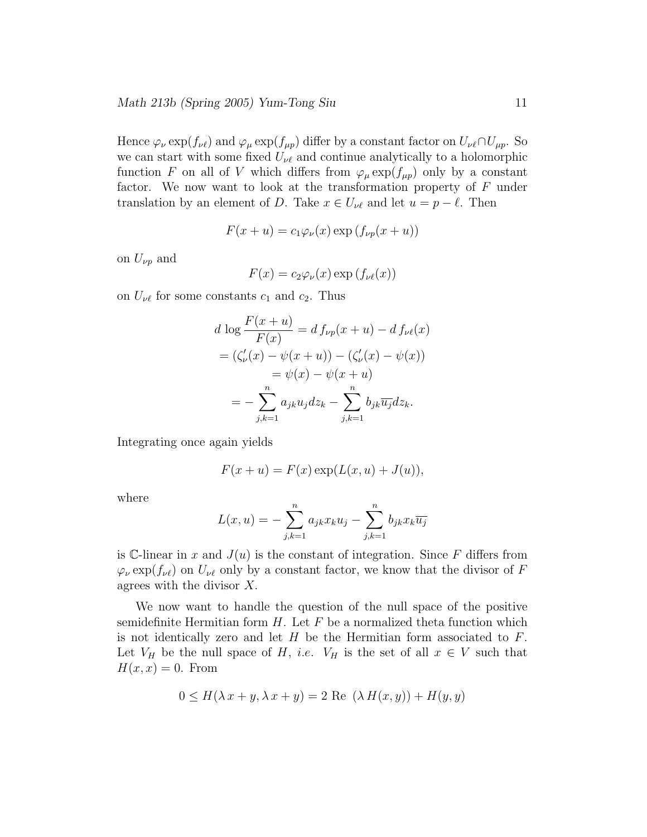Hence  $\varphi_{\nu} \exp(f_{\nu\ell})$  and  $\varphi_{\mu} \exp(f_{\mu p})$  differ by a constant factor on  $U_{\nu\ell} \cap U_{\mu p}$ . So we can start with some fixed  $U_{\nu\ell}$  and continue analytically to a holomorphic function F on all of V which differs from  $\varphi_{\mu} \exp(f_{\mu p})$  only by a constant factor. We now want to look at the transformation property of  $F$  under translation by an element of D. Take  $x \in U_{\nu\ell}$  and let  $u = p - \ell$ . Then

$$
F(x+u) = c_1 \varphi_{\nu}(x) \exp(f_{\nu p}(x+u))
$$

on  $U_{\nu p}$  and

$$
F(x) = c_2 \varphi_{\nu}(x) \exp(f_{\nu\ell}(x))
$$

on  $U_{\nu\ell}$  for some constants  $c_1$  and  $c_2$ . Thus

$$
d \log \frac{F(x+u)}{F(x)} = d f_{\nu p}(x+u) - d f_{\nu \ell}(x)
$$
  
=  $(\zeta_{\nu}'(x) - \psi(x+u)) - (\zeta_{\nu}'(x) - \psi(x))$   
=  $\psi(x) - \psi(x+u)$   
=  $-\sum_{j,k=1}^{n} a_{jk} u_j dz_k - \sum_{j,k=1}^{n} b_{jk} \overline{u_j} dz_k.$ 

Integrating once again yields

$$
F(x+u) = F(x) \exp(L(x, u) + J(u)),
$$

where

$$
L(x, u) = -\sum_{j,k=1}^{n} a_{jk} x_k u_j - \sum_{j,k=1}^{n} b_{jk} x_k \overline{u_j}
$$

is C-linear in x and  $J(u)$  is the constant of integration. Since F differs from  $\varphi_{\nu} \exp(f_{\nu \ell})$  on  $U_{\nu \ell}$  only by a constant factor, we know that the divisor of F agrees with the divisor  $X$ .

We now want to handle the question of the null space of the positive semidefinite Hermitian form  $H$ . Let  $F$  be a normalized theta function which is not identically zero and let  $H$  be the Hermitian form associated to  $F$ . Let  $V_H$  be the null space of H, *i.e.*  $V_H$  is the set of all  $x \in V$  such that  $H(x,x) = 0$ . From

$$
0 \le H(\lambda x + y, \lambda x + y) = 2 \text{ Re } (\lambda H(x, y)) + H(y, y)
$$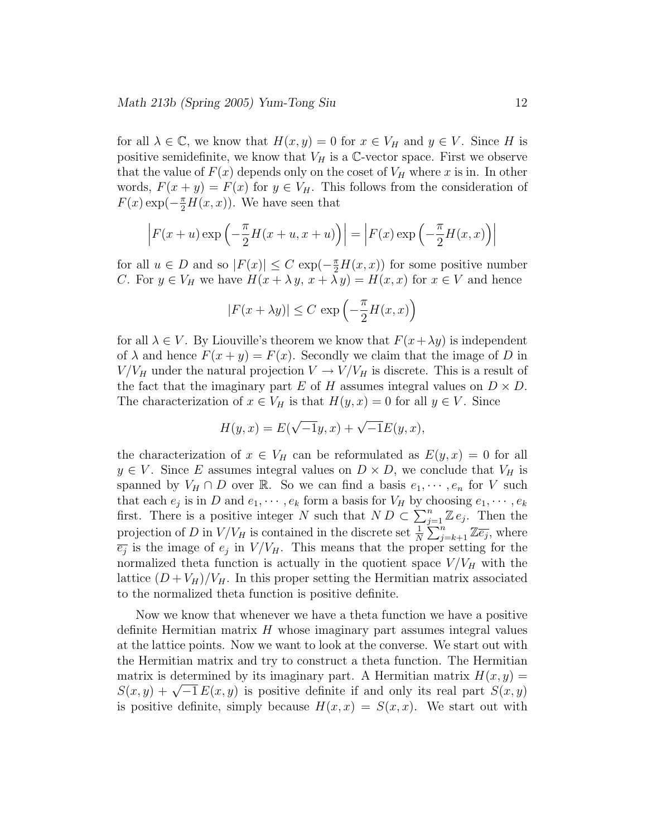for all  $\lambda \in \mathbb{C}$ , we know that  $H(x,y) = 0$  for  $x \in V_H$  and  $y \in V$ . Since H is positive semidefinite, we know that  $V_H$  is a C-vector space. First we observe that the value of  $F(x)$  depends only on the coset of  $V_H$  where x is in. In other words,  $F(x + y) = F(x)$  for  $y \in V_H$ . This follows from the consideration of  $F(x) \exp(-\frac{\pi}{2}H(x,x))$ . We have seen that

$$
\left| F(x+u) \exp\left(-\frac{\pi}{2}H(x+u,x+u)\right) \right| = \left| F(x) \exp\left(-\frac{\pi}{2}H(x,x)\right) \right|
$$

for all  $u \in D$  and so  $|F(x)| \leq C \exp(-\frac{\pi}{2}H(x,x))$  for some positive number C. For  $y \in V_H$  we have  $H(x + \lambda y, x + \lambda y) = H(x, x)$  for  $x \in V$  and hence

$$
|F(x + \lambda y)| \le C \exp\left(-\frac{\pi}{2}H(x, x)\right)
$$

for all  $\lambda \in V$ . By Liouville's theorem we know that  $F(x + \lambda y)$  is independent of  $\lambda$  and hence  $F(x + y) = F(x)$ . Secondly we claim that the image of D in  $V/V_H$  under the natural projection  $V \to V/V_H$  is discrete. This is a result of the fact that the imaginary part E of H assumes integral values on  $D \times D$ . The characterization of  $x \in V_H$  is that  $H(y, x) = 0$  for all  $y \in V$ . Since

$$
H(y, x) = E(\sqrt{-1}y, x) + \sqrt{-1}E(y, x),
$$

the characterization of  $x \in V_H$  can be reformulated as  $E(y, x) = 0$  for all  $y \in V$ . Since E assumes integral values on  $D \times D$ , we conclude that  $V_H$  is spanned by  $V_H \cap D$  over R. So we can find a basis  $e_1, \dots, e_n$  for V such that each  $e_j$  is in D and  $e_1, \dots, e_k$  form a basis for  $V_H$  by choosing  $e_1, \dots, e_k$ first. There is a positive integer N such that  $ND \subset \sum_{j=1}^{n} \mathbb{Z} e_j$ . Then the projection of D in  $V/V_H$  is contained in the discrete set  $\frac{1}{N} \sum_{j=k+1}^{n} \mathbb{Z} \overline{e_j}$ , where  $\overline{e_j}$  is the image of  $e_j$  in  $V/V_H$ . This means that the proper setting for the normalized theta function is actually in the quotient space  $V/V_H$  with the lattice  $(D + V_H)/V_H$ . In this proper setting the Hermitian matrix associated to the normalized theta function is positive definite.

Now we know that whenever we have a theta function we have a positive definite Hermitian matrix H whose imaginary part assumes integral values at the lattice points. Now we want to look at the converse. We start out with the Hermitian matrix and try to construct a theta function. The Hermitian matrix is determined by its imaginary part. A Hermitian matrix  $H(x,y) =$  $S(x,y) + \sqrt{-1} E(x,y)$  is positive definite if and only its real part  $S(x,y)$ is positive definite, simply because  $H(x, x) = S(x, x)$ . We start out with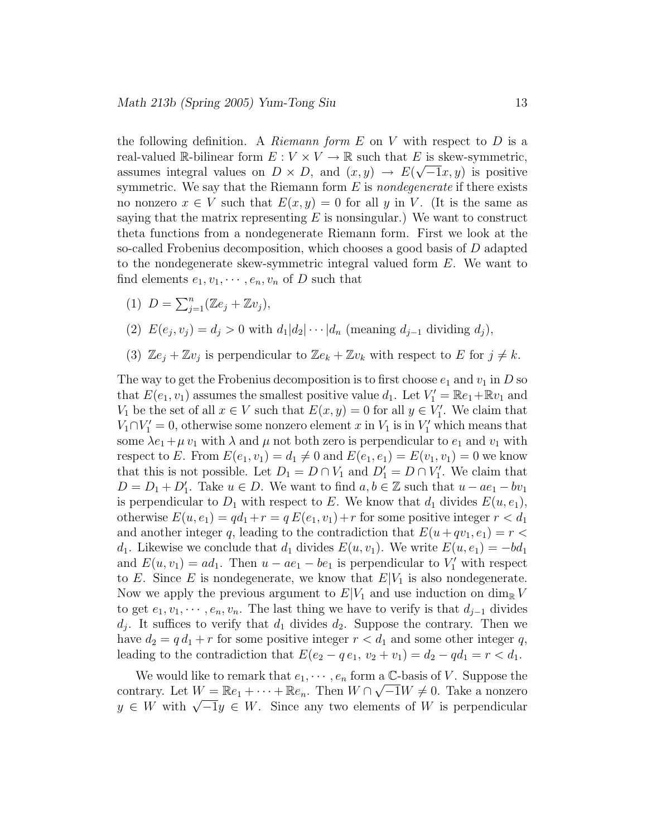the following definition. A Riemann form  $E$  on  $V$  with respect to  $D$  is a real-valued R-bilinear form  $E: V \times V \to \mathbb{R}$  such that E is skew-symmetric, assumes integral values on  $D \times D$ , and  $(x, y) \rightarrow E(\sqrt{-1}x, y)$  is positive symmetric. We say that the Riemann form  $E$  is *nondegenerate* if there exists no nonzero  $x \in V$  such that  $E(x, y) = 0$  for all y in V. (It is the same as saying that the matrix representing  $E$  is nonsingular.) We want to construct theta functions from a nondegenerate Riemann form. First we look at the so-called Frobenius decomposition, which chooses a good basis of D adapted to the nondegenerate skew-symmetric integral valued form  $E$ . We want to find elements  $e_1, v_1, \cdots, e_n, v_n$  of D such that

(1)  $D = \sum_{j=1}^{n} (\mathbb{Z}e_j + \mathbb{Z}v_j),$ 

(2) 
$$
E(e_j, v_j) = d_j > 0
$$
 with  $d_1|d_2|\cdots|d_n$  (meaning  $d_{j-1}$  dividing  $d_j$ ),

(3)  $\mathbb{Z}e_j + \mathbb{Z}v_j$  is perpendicular to  $\mathbb{Z}e_k + \mathbb{Z}v_k$  with respect to E for  $j \neq k$ .

The way to get the Frobenius decomposition is to first choose  $e_1$  and  $v_1$  in D so that  $E(e_1, v_1)$  assumes the smallest positive value  $d_1$ . Let  $V'_1 = \mathbb{R}e_1 + \mathbb{R}v_1$  and  $V_1$  be the set of all  $x \in V$  such that  $E(x, y) = 0$  for all  $y \in V'_1$ . We claim that  $V_1 \cap V_1' = 0$ , otherwise some nonzero element x in  $V_1$  is in  $V_1'$  which means that some  $\lambda e_1 + \mu v_1$  with  $\lambda$  and  $\mu$  not both zero is perpendicular to  $e_1$  and  $v_1$  with respect to E. From  $E(e_1, v_1) = d_1 \neq 0$  and  $E(e_1, e_1) = E(v_1, v_1) = 0$  we know that this is not possible. Let  $D_1 = D \cap V_1$  and  $D'_1 = D \cap V'_1$ . We claim that  $D = D_1 + D'_1$ . Take  $u \in D$ . We want to find  $a, b \in \mathbb{Z}$  such that  $u - ae_1 - bv_1$ is perpendicular to  $D_1$  with respect to E. We know that  $d_1$  divides  $E(u, e_1)$ , otherwise  $E(u, e_1) = qd_1 + r = q E(e_1, v_1) + r$  for some positive integer  $r < d_1$ and another integer q, leading to the contradiction that  $E(u+qv_1, e_1) = r <$  $d_1$ . Likewise we conclude that  $d_1$  divides  $E(u, v_1)$ . We write  $E(u, e_1) = -bd_1$ and  $E(u, v_1) = ad_1$ . Then  $u - ae_1 - be_1$  is perpendicular to  $V'_1$  with respect to E. Since E is nondegenerate, we know that  $E|V_1|$  is also nondegenerate. Now we apply the previous argument to  $E|V_1|$  and use induction on  $\dim_{\mathbb{R}} V$ to get  $e_1, v_1, \dots, e_n, v_n$ . The last thing we have to verify is that  $d_{j-1}$  divides  $d_j$ . It suffices to verify that  $d_1$  divides  $d_2$ . Suppose the contrary. Then we have  $d_2 = q d_1 + r$  for some positive integer  $r < d_1$  and some other integer q, leading to the contradiction that  $E(e_2 - q e_1, v_2 + v_1) = d_2 - q d_1 = r < d_1$ .

We would like to remark that  $e_1, \dots, e_n$  form a C-basis of V. Suppose the contrary. Let  $W = \mathbb{R}e_1 + \cdots + \mathbb{R}e_n$ . Then  $W \cap \sqrt{-1}W \neq 0$ . Take a nonzero  $y \in W$  with  $\sqrt{-1}y \in W$ . Since any two elements of W is perpendicular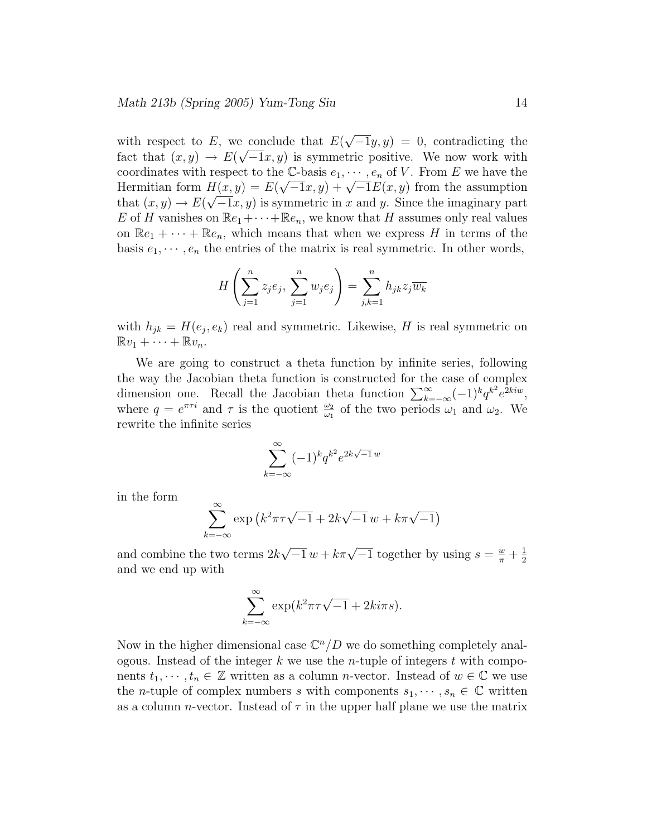with respect to E, we conclude that  $E(\sqrt{-1}y, y) = 0$ , contradicting the fact that  $(x, y) \rightarrow E(\sqrt{-1}x, y)$  is symmetric positive. We now work with coordinates with respect to the C-basis  $e_1, \dots, e_n$  of V. From E we have the Hermitian form  $H(x, y) = E(\sqrt{-1}x, y) + \sqrt{-1}E(x, y)$  from the assumption that  $(x, y) \to E(\sqrt{-1}x, y)$  is symmetric in x and y. Since the imaginary part E of H vanishes on  $\mathbb{R}e_1 + \cdots + \mathbb{R}e_n$ , we know that H assumes only real values on  $\mathbb{R}e_1 + \cdots + \mathbb{R}e_n$ , which means that when we express H in terms of the basis  $e_1, \dots, e_n$  the entries of the matrix is real symmetric. In other words,

$$
H\left(\sum_{j=1}^{n} z_j e_j, \sum_{j=1}^{n} w_j e_j\right) = \sum_{j,k=1}^{n} h_{jk} z_j \overline{w_k}
$$

with  $h_{jk} = H(e_j, e_k)$  real and symmetric. Likewise, H is real symmetric on  $\mathbb{R}v_1 + \cdots + \mathbb{R}v_n$ .

We are going to construct a theta function by infinite series, following the way the Jacobian theta function is constructed for the case of complex dimension one. Recall the Jacobian theta function  $\sum_{k=-\infty}^{\infty} (-1)^k q^{k^2} e^{2kiw}$ , where  $q = e^{\pi \tau i}$  and  $\tau$  is the quotient  $\frac{\omega_2}{\omega_1}$  of the two periods  $\omega_1$  and  $\omega_2$ . We rewrite the infinite series

$$
\sum_{k=-\infty}^{\infty} (-1)^k q^{k^2} e^{2k\sqrt{-1}w}
$$

in the form

$$
\sum_{k=-\infty}^{\infty} \exp\left(k^2 \pi \tau \sqrt{-1} + 2k\sqrt{-1}w + k\pi \sqrt{-1}\right)
$$

and combine the two terms  $2k\sqrt{-1} w + k\pi\sqrt{-1}$  together by using  $s = \frac{w}{\pi} + \frac{1}{2}$ 2 and we end up with

$$
\sum_{k=-\infty}^{\infty} \exp(k^2 \pi \tau \sqrt{-1} + 2k i \pi s).
$$

Now in the higher dimensional case  $\mathbb{C}^n/D$  we do something completely analogous. Instead of the integer k we use the *n*-tuple of integers t with components  $t_1, \dots, t_n \in \mathbb{Z}$  written as a column *n*-vector. Instead of  $w \in \mathbb{C}$  we use the *n*-tuple of complex numbers s with components  $s_1, \dots, s_n \in \mathbb{C}$  written as a column *n*-vector. Instead of  $\tau$  in the upper half plane we use the matrix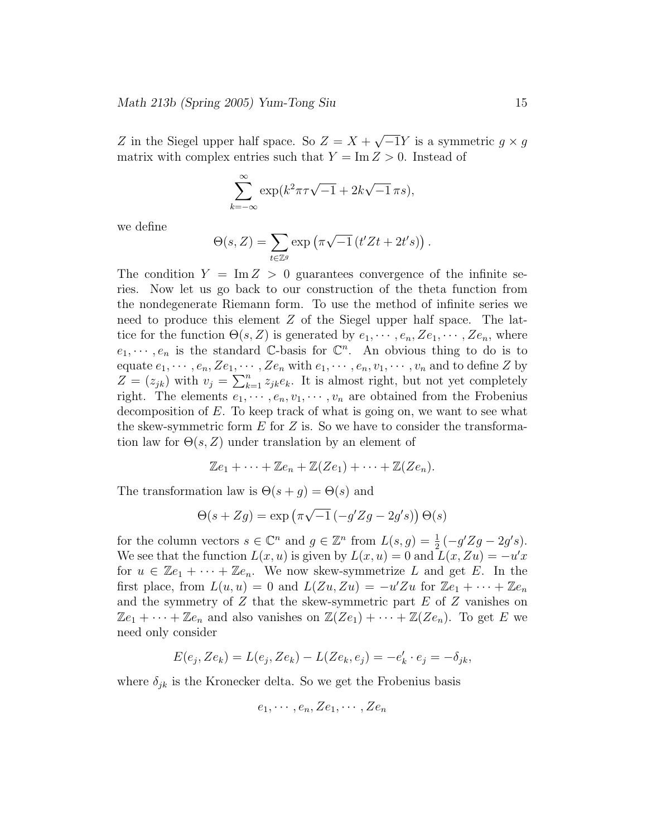Z in the Siegel upper half space. So  $Z = X + \sqrt{-1}Y$  is a symmetric  $g \times g$ matrix with complex entries such that  $Y = \text{Im } Z > 0$ . Instead of

$$
\sum_{k=-\infty}^{\infty} \exp(k^2 \pi \tau \sqrt{-1} + 2k \sqrt{-1} \pi s),
$$

we define

$$
\Theta(s,Z) = \sum_{t \in \mathbb{Z}^g} \exp\left(\pi\sqrt{-1}\left(t'Zt + 2t's\right)\right).
$$

The condition  $Y = \text{Im } Z > 0$  guarantees convergence of the infinite series. Now let us go back to our construction of the theta function from the nondegenerate Riemann form. To use the method of infinite series we need to produce this element Z of the Siegel upper half space. The lattice for the function  $\Theta(s, Z)$  is generated by  $e_1, \dots, e_n, Ze_1, \dots, Ze_n$ , where  $e_1, \dots, e_n$  is the standard C-basis for  $\mathbb{C}^n$ . An obvious thing to do is to equate  $e_1, \dots, e_n, Ze_1, \dots, Ze_n$  with  $e_1, \dots, e_n, v_1, \dots, v_n$  and to define Z by  $Z = (z_{jk})$  with  $v_j = \sum_{k=1}^n z_{jk} e_k$ . It is almost right, but not yet completely right. The elements  $e_1, \dots, e_n, v_1, \dots, v_n$  are obtained from the Frobenius decomposition of  $E$ . To keep track of what is going on, we want to see what the skew-symmetric form  $E$  for  $Z$  is. So we have to consider the transformation law for  $\Theta(s, Z)$  under translation by an element of

$$
\mathbb{Z}e_1+\cdots+\mathbb{Z}e_n+\mathbb{Z}(Ze_1)+\cdots+\mathbb{Z}(Ze_n).
$$

The transformation law is  $\Theta(s+g) = \Theta(s)$  and

$$
\Theta(s + Zg) = \exp\left(\pi\sqrt{-1}\left(-g'Zg - 2g's\right)\right)\Theta(s)
$$

for the column vectors  $s \in \mathbb{C}^n$  and  $g \in \mathbb{Z}^n$  from  $L(s,g) = \frac{1}{2}(-g'Zg - 2g's)$ . We see that the function  $L(x, u)$  is given by  $L(x, u) = 0$  and  $L(x, Zu) = -u'x$ for  $u \in \mathbb{Z}e_1 + \cdots + \mathbb{Z}e_n$ . We now skew-symmetrize L and get E. In the first place, from  $L(u, u) = 0$  and  $L(Zu, Zu) = -u'Zu$  for  $\mathbb{Z}e_1 + \cdots + \mathbb{Z}e_n$ and the symmetry of  $Z$  that the skew-symmetric part  $E$  of  $Z$  vanishes on  $\mathbb{Z}e_1 + \cdots + \mathbb{Z}e_n$  and also vanishes on  $\mathbb{Z}(Ze_1) + \cdots + \mathbb{Z}(Ze_n)$ . To get E we need only consider

$$
E(e_j, Ze_k) = L(e_j, Ze_k) - L(Ze_k, e_j) = -e'_k \cdot e_j = -\delta_{jk},
$$

where  $\delta_{jk}$  is the Kronecker delta. So we get the Frobenius basis

$$
e_1, \cdots, e_n, Ze_1, \cdots, Ze_n
$$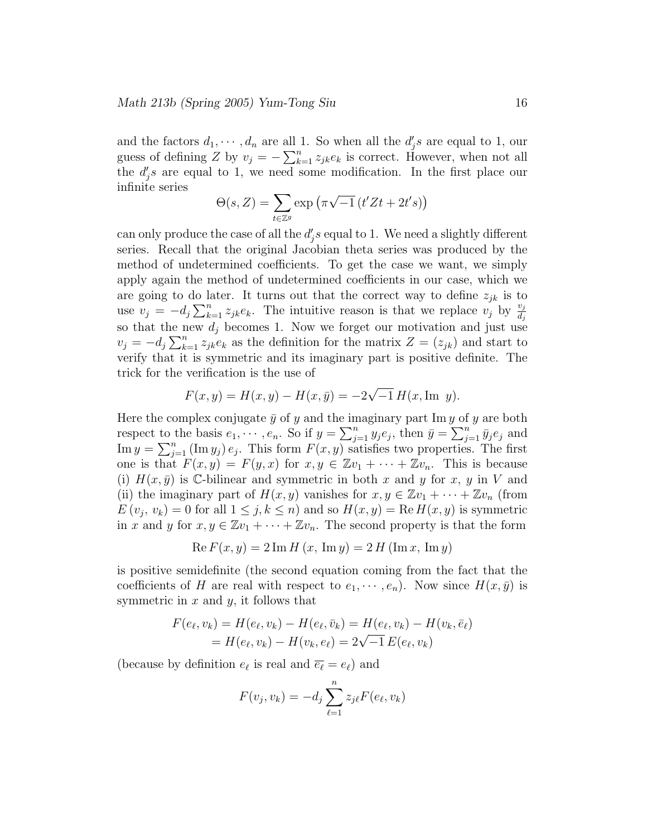and the factors  $d_1, \dots, d_n$  are all 1. So when all the  $d'_j s$  are equal to 1, our guess of defining Z by  $v_j = -\sum_{k=1}^n z_{jk}e_k$  is correct. However, when not all the  $d'_j$ s are equal to 1, we need some modification. In the first place our infinite series

$$
\Theta(s,Z) = \sum_{t \in \mathbb{Z}^g} \exp\left(\pi\sqrt{-1}\left(t'Zt + 2t's\right)\right)
$$

can only produce the case of all the  $d'_{j}s$  equal to 1. We need a slightly different series. Recall that the original Jacobian theta series was produced by the method of undetermined coefficients. To get the case we want, we simply apply again the method of undetermined coefficients in our case, which we are going to do later. It turns out that the correct way to define  $z_{jk}$  is to use  $v_j = -d_j \sum_{k=1}^n z_{jk} e_k$ . The intuitive reason is that we replace  $v_j$  by  $\frac{v_j}{d_j}$ so that the new  $d_j$  becomes 1. Now we forget our motivation and just use  $v_j = -d_j \sum_{k=1}^n z_{jk} e_k$  as the definition for the matrix  $Z = (z_{jk})$  and start to verify that it is symmetric and its imaginary part is positive definite. The trick for the verification is the use of

$$
F(x, y) = H(x, y) - H(x, \bar{y}) = -2\sqrt{-1} H(x, \text{Im } y).
$$

Here the complex conjugate  $\bar{y}$  of y and the imaginary part Im y of y are both respect to the basis  $e_1, \dots, e_n$ . So if  $y = \sum_{j=1}^n y_j e_j$ , then  $\bar{y} = \sum_{j=1}^n \bar{y}_j e_j$  and  $\text{Im } y = \sum_{j=1}^{n} (\text{Im } y_j) e_j$ . This form  $F(x, y)$  satisfies two properties. The first one is that  $F(x,y) = F(y,x)$  for  $x,y \in \mathbb{Z}v_1 + \cdots + \mathbb{Z}v_n$ . This is because (i)  $H(x, \bar{y})$  is C-bilinear and symmetric in both x and y for x, y in V and (ii) the imaginary part of  $H(x, y)$  vanishes for  $x, y \in \mathbb{Z}v_1 + \cdots + \mathbb{Z}v_n$  (from  $E(v_j, v_k) = 0$  for all  $1 \le j, k \le n$  and so  $H(x, y) = \text{Re } H(x, y)$  is symmetric in x and y for  $x, y \in \mathbb{Z}v_1 + \cdots + \mathbb{Z}v_n$ . The second property is that the form

$$
Re F(x, y) = 2 Im H (x, Im y) = 2 H (Im x, Im y)
$$

is positive semidefinite (the second equation coming from the fact that the coefficients of H are real with respect to  $e_1, \dots, e_n$ ). Now since  $H(x, \bar{y})$  is symmetric in  $x$  and  $y$ , it follows that

$$
F(e_{\ell}, v_k) = H(e_{\ell}, v_k) - H(e_{\ell}, \bar{v}_k) = H(e_{\ell}, v_k) - H(v_k, \bar{e}_{\ell})
$$
  
=  $H(e_{\ell}, v_k) - H(v_k, e_{\ell}) = 2\sqrt{-1} E(e_{\ell}, v_k)$ 

(because by definition  $e_{\ell}$  is real and  $\overline{e_{\ell}} = e_{\ell}$ ) and

$$
F(v_j, v_k) = -d_j \sum_{\ell=1}^n z_{j\ell} F(e_\ell, v_k)
$$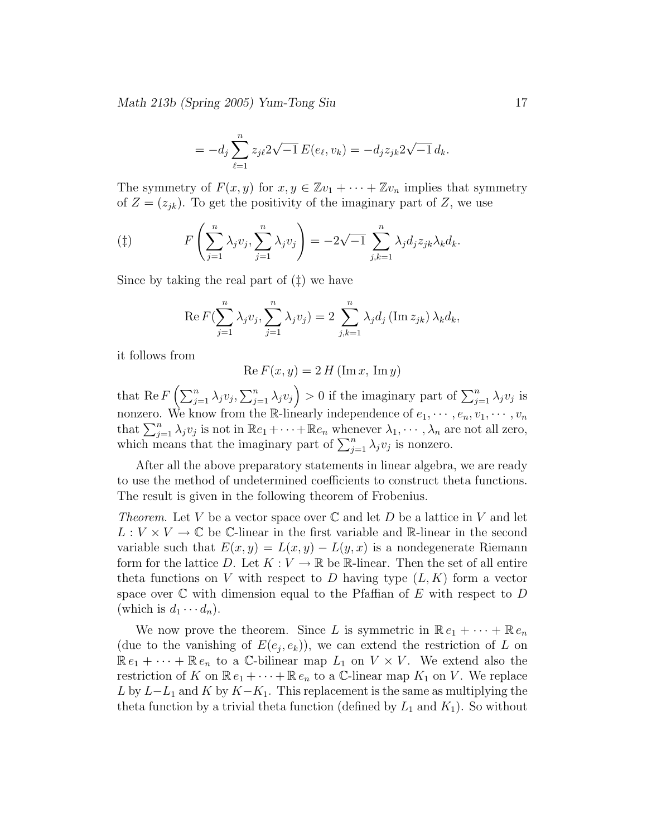Math 213b (Spring 2005) Yum-Tong Siu 17

$$
= -d_j \sum_{\ell=1}^n z_{j\ell} 2\sqrt{-1} E(e_\ell, v_k) = -d_j z_{jk} 2\sqrt{-1} d_k.
$$

The symmetry of  $F(x,y)$  for  $x,y \in \mathbb{Z}v_1 + \cdots + \mathbb{Z}v_n$  implies that symmetry of  $Z = (z_{ik})$ . To get the positivity of the imaginary part of Z, we use

$$
(\ddagger) \qquad F\left(\sum_{j=1}^n \lambda_j v_j, \sum_{j=1}^n \lambda_j v_j\right) = -2\sqrt{-1} \sum_{j,k=1}^n \lambda_j d_j z_{jk} \lambda_k d_k.
$$

Since by taking the real part of (‡) we have

Re 
$$
F(\sum_{j=1}^{n} \lambda_j v_j, \sum_{j=1}^{n} \lambda_j v_j) = 2 \sum_{j,k=1}^{n} \lambda_j d_j (\text{Im } z_{jk}) \lambda_k d_k,
$$

it follows from

$$
Re F(x, y) = 2 H (Im x, Im y)
$$

that Re  $F\left(\sum_{j=1}^n\lambda_jv_j,\sum_{j=1}^n\lambda_jv_j\right)>0$  if the imaginary part of  $\sum_{j=1}^n\lambda_jv_j$  is nonzero. We know from the R-linearly independence of  $e_1, \dots, e_n, v_1, \dots, v_n$ that  $\sum_{j=1}^n \lambda_j v_j$  is not in  $\mathbb{R}e_1 + \cdots + \mathbb{R}e_n$  whenever  $\lambda_1, \cdots, \lambda_n$  are not all zero, which means that the imaginary part of  $\sum_{j=1}^{n} \lambda_j v_j$  is nonzero.

After all the above preparatory statements in linear algebra, we are ready to use the method of undetermined coefficients to construct theta functions. The result is given in the following theorem of Frobenius.

Theorem. Let V be a vector space over  $\mathbb C$  and let D be a lattice in V and let  $L: V \times V \to \mathbb{C}$  be C-linear in the first variable and R-linear in the second variable such that  $E(x,y) = L(x,y) - L(y,x)$  is a nondegenerate Riemann form for the lattice D. Let  $K: V \to \mathbb{R}$  be R-linear. Then the set of all entire theta functions on V with respect to D having type  $(L, K)$  form a vector space over  $\mathbb C$  with dimension equal to the Pfaffian of E with respect to D (which is  $d_1 \cdots d_n$ ).

We now prove the theorem. Since L is symmetric in  $\mathbb{R} e_1 + \cdots + \mathbb{R} e_n$ (due to the vanishing of  $E(e_j, e_k)$ ), we can extend the restriction of L on  $\mathbb{R} e_1 + \cdots + \mathbb{R} e_n$  to a C-bilinear map  $L_1$  on  $V \times V$ . We extend also the restriction of K on  $\mathbb{R} e_1 + \cdots + \mathbb{R} e_n$  to a C-linear map  $K_1$  on V. We replace L by  $L-L_1$  and K by  $K-K_1$ . This replacement is the same as multiplying the theta function by a trivial theta function (defined by  $L_1$  and  $K_1$ ). So without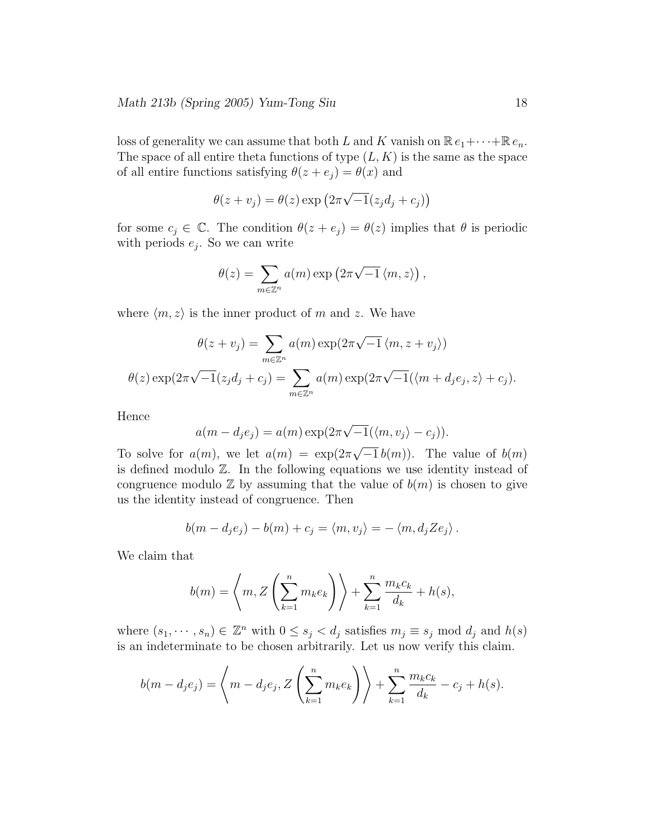loss of generality we can assume that both L and K vanish on  $\mathbb{R} e_1 + \cdots + \mathbb{R} e_n$ . The space of all entire theta functions of type  $(L, K)$  is the same as the space of all entire functions satisfying  $\theta(z + e_j) = \theta(x)$  and

$$
\theta(z + v_j) = \theta(z) \exp(2\pi\sqrt{-1}(z_j d_j + c_j))
$$

for some  $c_j \in \mathbb{C}$ . The condition  $\theta(z + e_j) = \theta(z)$  implies that  $\theta$  is periodic with periods  $e_j$ . So we can write

$$
\theta(z) = \sum_{m \in \mathbb{Z}^n} a(m) \exp(2\pi \sqrt{-1} \langle m, z \rangle),
$$

where  $\langle m,z \rangle$  is the inner product of m and z. We have

$$
\theta(z + v_j) = \sum_{m \in \mathbb{Z}^n} a(m) \exp(2\pi \sqrt{-1} \langle m, z + v_j \rangle)
$$

$$
\theta(z) \exp(2\pi \sqrt{-1} (z_j d_j + c_j) = \sum_{m \in \mathbb{Z}^n} a(m) \exp(2\pi \sqrt{-1} (\langle m + d_j e_j, z \rangle + c_j)).
$$

Hence

$$
a(m-d_j e_j) = a(m) \exp(2\pi \sqrt{-1}(\langle m, v_j \rangle - c_j)).
$$

To solve for  $a(m)$ , we let  $a(m) = \exp(2\pi\sqrt{-1}b(m))$ . The value of  $b(m)$ is defined modulo Z. In the following equations we use identity instead of congruence modulo  $\mathbb Z$  by assuming that the value of  $b(m)$  is chosen to give us the identity instead of congruence. Then

$$
b(m-d_je_j)-b(m)+c_j=\langle m,v_j\rangle=-\langle m,d_jZe_j\rangle.
$$

We claim that

$$
b(m) = \left\langle m, Z\left(\sum_{k=1}^n m_k e_k\right) \right\rangle + \sum_{k=1}^n \frac{m_k c_k}{d_k} + h(s),
$$

where  $(s_1, \dots, s_n) \in \mathbb{Z}^n$  with  $0 \le s_j < d_j$  satisfies  $m_j \equiv s_j \mod d_j$  and  $h(s)$ is an indeterminate to be chosen arbitrarily. Let us now verify this claim.

$$
b(m - d_j e_j) = \left\langle m - d_j e_j, Z\left(\sum_{k=1}^n m_k e_k\right) \right\rangle + \sum_{k=1}^n \frac{m_k c_k}{d_k} - c_j + h(s).
$$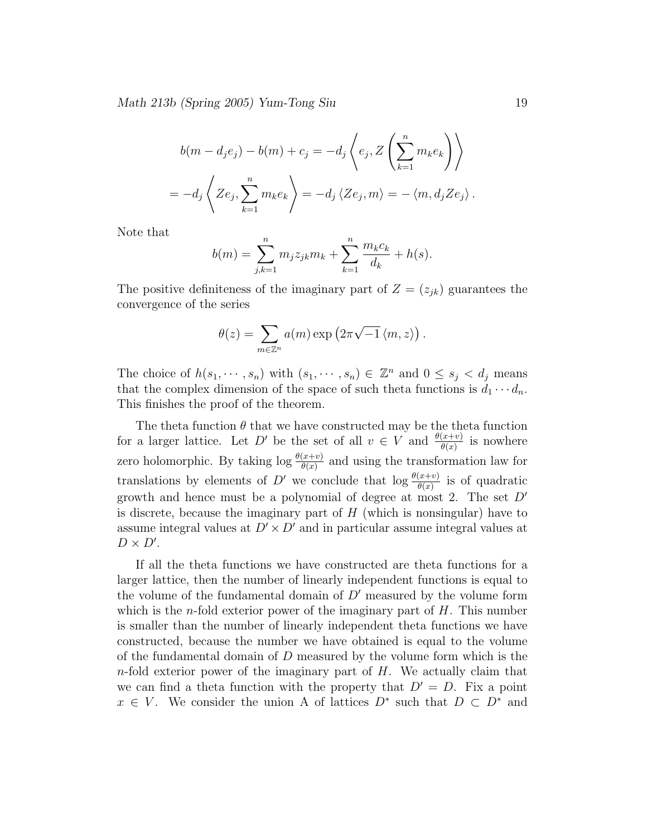Math 213b (Spring 2005) Yum-Tong Siu 19

$$
b(m - d_j e_j) - b(m) + c_j = -d_j \left\langle e_j, Z\left(\sum_{k=1}^n m_k e_k\right) \right\rangle
$$
  
= 
$$
-d_j \left\langle Ze_j, \sum_{k=1}^n m_k e_k \right\rangle = -d_j \left\langle Ze_j, m \right\rangle = -\left\langle m, d_j Ze_j \right\rangle.
$$

Note that

$$
b(m) = \sum_{j,k=1}^{n} m_j z_{jk} m_k + \sum_{k=1}^{n} \frac{m_k c_k}{d_k} + h(s).
$$

The positive definiteness of the imaginary part of  $Z = (z_{jk})$  guarantees the convergence of the series

$$
\theta(z) = \sum_{m \in \mathbb{Z}^n} a(m) \exp(2\pi \sqrt{-1} \langle m, z \rangle).
$$

The choice of  $h(s_1, \dots, s_n)$  with  $(s_1, \dots, s_n) \in \mathbb{Z}^n$  and  $0 \le s_j < d_j$  means that the complex dimension of the space of such theta functions is  $d_1 \cdots d_n$ . This finishes the proof of the theorem.

The theta function  $\theta$  that we have constructed may be the theta function for a larger lattice. Let D' be the set of all  $v \in V$  and  $\frac{\theta(x+v)}{\theta(x)}$  is nowhere zero holomorphic. By taking  $\log \frac{\theta(x+v)}{\theta(x)}$  and using the transformation law for translations by elements of D' we conclude that  $\log \frac{\theta(x+v)}{\theta(x)}$  is of quadratic growth and hence must be a polynomial of degree at most 2. The set  $D'$ is discrete, because the imaginary part of  $H$  (which is nonsingular) have to assume integral values at  $D' \times D'$  and in particular assume integral values at  $D \times D'$ .

If all the theta functions we have constructed are theta functions for a larger lattice, then the number of linearly independent functions is equal to the volume of the fundamental domain of  $D'$  measured by the volume form which is the *n*-fold exterior power of the imaginary part of  $H$ . This number is smaller than the number of linearly independent theta functions we have constructed, because the number we have obtained is equal to the volume of the fundamental domain of  $D$  measured by the volume form which is the  $n$ -fold exterior power of the imaginary part of  $H$ . We actually claim that we can find a theta function with the property that  $D' = D$ . Fix a point  $x \in V$ . We consider the union A of lattices  $D^*$  such that  $D \subset D^*$  and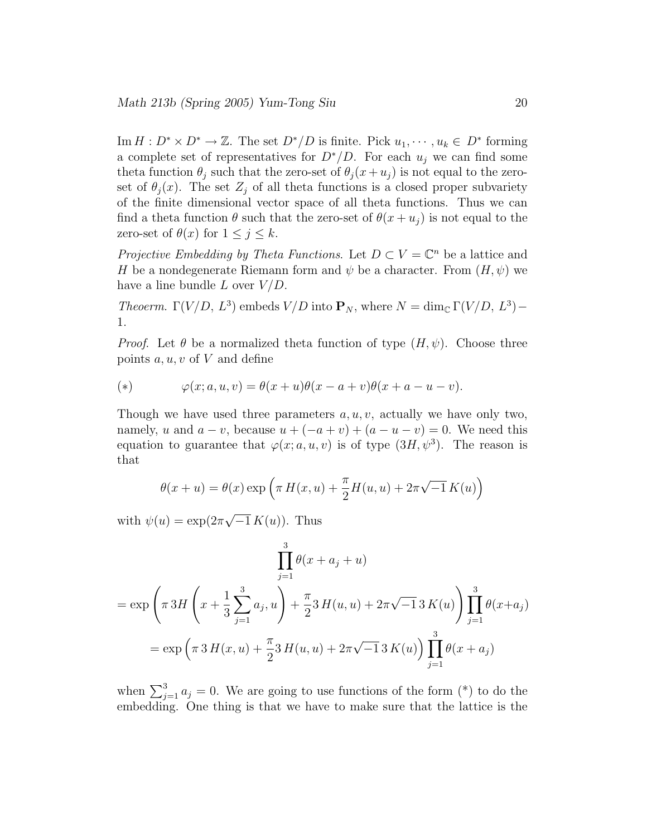Im  $H: D^* \times D^* \to \mathbb{Z}$ . The set  $D^*/D$  is finite. Pick  $u_1, \dots, u_k \in D^*$  forming a complete set of representatives for  $D^*/D$ . For each  $u_i$  we can find some theta function  $\theta_j$  such that the zero-set of  $\theta_j(x+u_j)$  is not equal to the zeroset of  $\theta_i(x)$ . The set  $Z_i$  of all theta functions is a closed proper subvariety of the finite dimensional vector space of all theta functions. Thus we can find a theta function  $\theta$  such that the zero-set of  $\theta(x+u_i)$  is not equal to the zero-set of  $\theta(x)$  for  $1 \leq j \leq k$ .

Projective Embedding by Theta Functions. Let  $D \subset V = \mathbb{C}^n$  be a lattice and H be a nondegenerate Riemann form and  $\psi$  be a character. From  $(H, \psi)$  we have a line bundle  $L$  over  $V/D$ .

Theoerm.  $\Gamma(V/D, L^3)$  embeds  $V/D$  into  $\mathbf{P}_N$ , where  $N = \dim_{\mathbb{C}} \Gamma(V/D, L^3)$  – 1.

*Proof.* Let  $\theta$  be a normalized theta function of type  $(H, \psi)$ . Choose three points  $a, u, v$  of V and define

(\*) 
$$
\varphi(x;a,u,v) = \theta(x+u)\theta(x-a+v)\theta(x+a-u-v).
$$

Though we have used three parameters  $a, u, v$ , actually we have only two, namely, u and  $a - v$ , because  $u + (-a + v) + (a - u - v) = 0$ . We need this equation to guarantee that  $\varphi(x; a, u, v)$  is of type  $(3H, \psi^3)$ . The reason is that

$$
\theta(x+u) = \theta(x) \exp\left(\pi H(x, u) + \frac{\pi}{2}H(u, u) + 2\pi\sqrt{-1} K(u)\right)
$$

with  $\psi(u) = \exp(2\pi\sqrt{-1} K(u))$ . Thus

$$
\prod_{j=1}^{3} \theta(x + a_j + u)
$$
  
=  $\exp\left(\pi 3H\left(x + \frac{1}{3}\sum_{j=1}^{3} a_j, u\right) + \frac{\pi}{2}3H(u, u) + 2\pi\sqrt{-1}3K(u)\right)\prod_{j=1}^{3} \theta(x + a_j)$   
=  $\exp\left(\pi 3H(x, u) + \frac{\pi}{2}3H(u, u) + 2\pi\sqrt{-1}3K(u)\right)\prod_{j=1}^{3} \theta(x + a_j)$ 

when  $\sum_{j=1}^{3} a_j = 0$ . We are going to use functions of the form (\*) to do the embedding. One thing is that we have to make sure that the lattice is the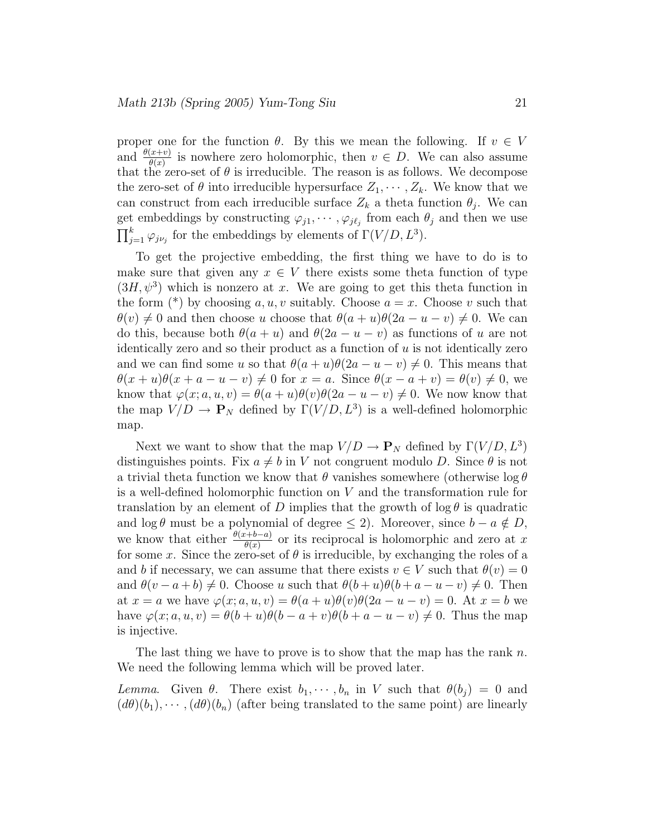proper one for the function  $\theta$ . By this we mean the following. If  $v \in V$ and  $\frac{\theta(x+v)}{\theta(x)}$  is nowhere zero holomorphic, then  $v \in D$ . We can also assume that the zero-set of  $\theta$  is irreducible. The reason is as follows. We decompose the zero-set of  $\theta$  into irreducible hypersurface  $Z_1, \cdots, Z_k$ . We know that we can construct from each irreducible surface  $Z_k$  a theta function  $\theta_j$ . We can get embeddings by constructing  $\varphi_{j1}, \cdots, \varphi_{j\ell_j}$  from each  $\theta_j$  and then we use  $\prod_{j=1}^{k} \varphi_{j\nu_j}$  for the embeddings by elements of  $\Gamma(V/D, L^3)$ .

To get the projective embedding, the first thing we have to do is to make sure that given any  $x \in V$  there exists some theta function of type  $(3H, \psi^3)$  which is nonzero at x. We are going to get this theta function in the form (\*) by choosing a, u, v suitably. Choose  $a = x$ . Choose v such that  $\theta(v) \neq 0$  and then choose u choose that  $\theta(a + u)\theta(2a - u - v) \neq 0$ . We can do this, because both  $\theta(a + u)$  and  $\theta(2a - u - v)$  as functions of u are not identically zero and so their product as a function of  $u$  is not identically zero and we can find some u so that  $\theta(a + u)\theta(2a - u - v) \neq 0$ . This means that  $\theta(x+u)\theta(x+a-u-v) \neq 0$  for  $x=a$ . Since  $\theta(x-a+v) = \theta(v) \neq 0$ , we know that  $\varphi(x; a, u, v) = \theta(a + u)\theta(v)\theta(2a - u - v) \neq 0$ . We now know that the map  $V/D \rightarrow \mathbf{P}_N$  defined by  $\Gamma(V/D, L^3)$  is a well-defined holomorphic map.

Next we want to show that the map  $V/D \to \mathbf{P}_N$  defined by  $\Gamma(V/D, L^3)$ distinguishes points. Fix  $a \neq b$  in V not congruent modulo D. Since  $\theta$  is not a trivial theta function we know that  $\theta$  vanishes somewhere (otherwise  $\log \theta$ is a well-defined holomorphic function on  $V$  and the transformation rule for translation by an element of D implies that the growth of  $\log \theta$  is quadratic and  $\log \theta$  must be a polynomial of degree  $\leq 2$ ). Moreover, since  $b - a \notin D$ , we know that either  $\frac{\theta(x+b-a)}{\theta(x)}$  or its reciprocal is holomorphic and zero at x for some x. Since the zero-set of  $\theta$  is irreducible, by exchanging the roles of a and b if necessary, we can assume that there exists  $v \in V$  such that  $\theta(v) = 0$ and  $\theta(v-a+b) \neq 0$ . Choose u such that  $\theta(b+u)\theta(b+a-u-v) \neq 0$ . Then at  $x = a$  we have  $\varphi(x; a, u, v) = \theta(a + u)\theta(v)\theta(2a - u - v) = 0$ . At  $x = b$  we have  $\varphi(x; a, u, v) = \theta(b+u)\theta(b-a+v)\theta(b+a-u-v) \neq 0$ . Thus the map is injective.

The last thing we have to prove is to show that the map has the rank  $n$ . We need the following lemma which will be proved later.

Lemma. Given  $\theta$ . There exist  $b_1, \dots, b_n$  in V such that  $\theta(b_j) = 0$  and  $(d\theta)(b_1), \cdots, (d\theta)(b_n)$  (after being translated to the same point) are linearly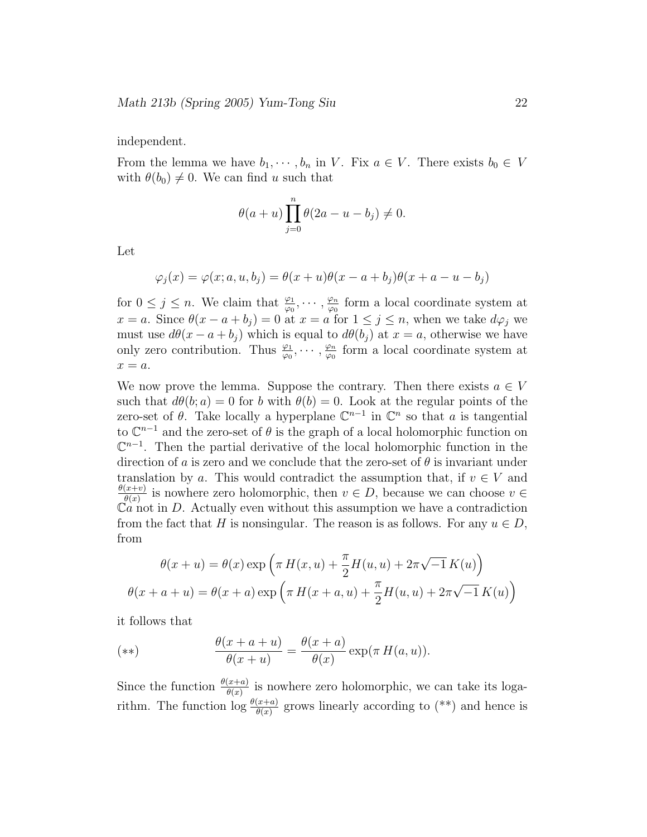independent.

From the lemma we have  $b_1, \dots, b_n$  in V. Fix  $a \in V$ . There exists  $b_0 \in V$ with  $\theta(b_0) \neq 0$ . We can find u such that

$$
\theta(a+u)\prod_{j=0}^n\theta(2a-u-b_j)\neq 0.
$$

Let

$$
\varphi_j(x) = \varphi(x; a, u, b_j) = \theta(x + u)\theta(x - a + b_j)\theta(x + a - u - b_j)
$$

for  $0 \leq j \leq n$ . We claim that  $\frac{\varphi_1}{\varphi_0}, \cdots, \frac{\varphi_n}{\varphi_0}$  $\frac{\varphi_n}{\varphi_0}$  form a local coordinate system at  $x = a$ . Since  $\theta(x - a + b_j) = 0$  at  $x = a$  for  $1 \leq j \leq n$ , when we take  $d\varphi_j$  we must use  $d\theta(x-a+b_i)$  which is equal to  $d\theta(b_i)$  at  $x=a$ , otherwise we have only zero contribution. Thus  $\frac{\varphi_1}{\varphi_0}, \cdots, \frac{\varphi_n}{\varphi_0}$  $\frac{\varphi_n}{\varphi_0}$  form a local coordinate system at  $x = a$ .

We now prove the lemma. Suppose the contrary. Then there exists  $a \in V$ such that  $d\theta(b; a) = 0$  for b with  $\theta(b) = 0$ . Look at the regular points of the zero-set of  $\theta$ . Take locally a hyperplane  $\mathbb{C}^{n-1}$  in  $\mathbb{C}^n$  so that a is tangential to  $\mathbb{C}^{n-1}$  and the zero-set of  $\theta$  is the graph of a local holomorphic function on  $\mathbb{C}^{n-1}$ . Then the partial derivative of the local holomorphic function in the direction of a is zero and we conclude that the zero-set of  $\theta$  is invariant under translation by a. This would contradict the assumption that, if  $v \in V$  and  $\theta(x+v)$  $\frac{u(x+v)}{\theta(x)}$  is nowhere zero holomorphic, then  $v \in D$ , because we can choose  $v \in D$  $Ca$  not in D. Actually even without this assumption we have a contradiction from the fact that H is nonsingular. The reason is as follows. For any  $u \in D$ , from

$$
\theta(x+u) = \theta(x) \exp\left(\pi H(x,u) + \frac{\pi}{2}H(u,u) + 2\pi\sqrt{-1}K(u)\right)
$$

$$
\theta(x+a+u) = \theta(x+a) \exp\left(\pi H(x+a,u) + \frac{\pi}{2}H(u,u) + 2\pi\sqrt{-1}K(u)\right)
$$

it follows that

(\*\*) 
$$
\frac{\theta(x+a+u)}{\theta(x+u)} = \frac{\theta(x+a)}{\theta(x)} \exp(\pi H(a,u)).
$$

Since the function  $\frac{\theta(x+a)}{\theta(x)}$  is nowhere zero holomorphic, we can take its logarithm. The function  $\log \frac{\theta(x+a)}{\theta(x)}$  grows linearly according to (\*\*) and hence is